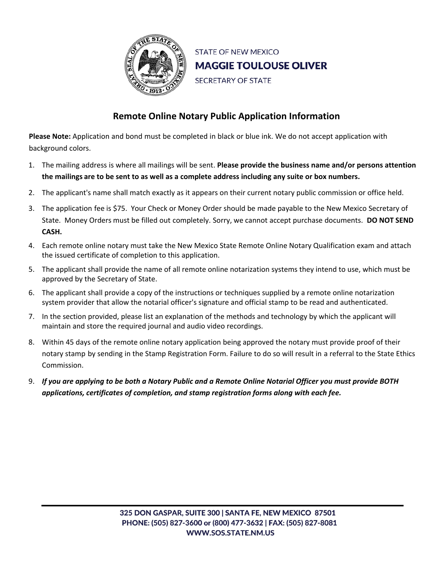

**STATE OF NEW MEXICO MAGGIE TOULOUSE OLIVER** SECRETARY OF STATE

## **Remote Online Notary Public Application Information**

**Please Note:** Application and bond must be completed in black or blue ink. We do not accept application with background colors.

- 1. The mailing address is where all mailings will be sent. **Please provide the business name and/or persons attention the mailings are to be sent to as well as a complete address including any suite or box numbers.**
- 2. The applicant's name shall match exactly as it appears on their current notary public commission or office held.
- 3. The application fee is \$75. Your Check or Money Order should be made payable to the New Mexico Secretary of State. Money Orders must be filled out completely. Sorry, we cannot accept purchase documents. **DO NOT SEND CASH.**
- 4. Each remote online notary must take the New Mexico State Remote Online Notary Qualification exam and attach the issued certificate of completion to this application.
- 5. The applicant shall provide the name of all remote online notarization systems they intend to use, which must be approved by the Secretary of State.
- 6. The applicant shall provide a copy of the instructions or techniques supplied by a remote online notarization system provider that allow the notarial officer's signature and official stamp to be read and authenticated.
- 7. In the section provided, please list an explanation of the methods and technology by which the applicant will maintain and store the required journal and audio video recordings.
- 8. Within 45 days of the remote online notary application being approved the notary must provide proof of their notary stamp by sending in the Stamp Registration Form. Failure to do so will result in a referral to the State Ethics Commission.
- 9. *If you are applying to be both a Notary Public and a Remote Online Notarial Officer you must provide BOTH applications, certificates of completion, and stamp registration forms along with each fee.*